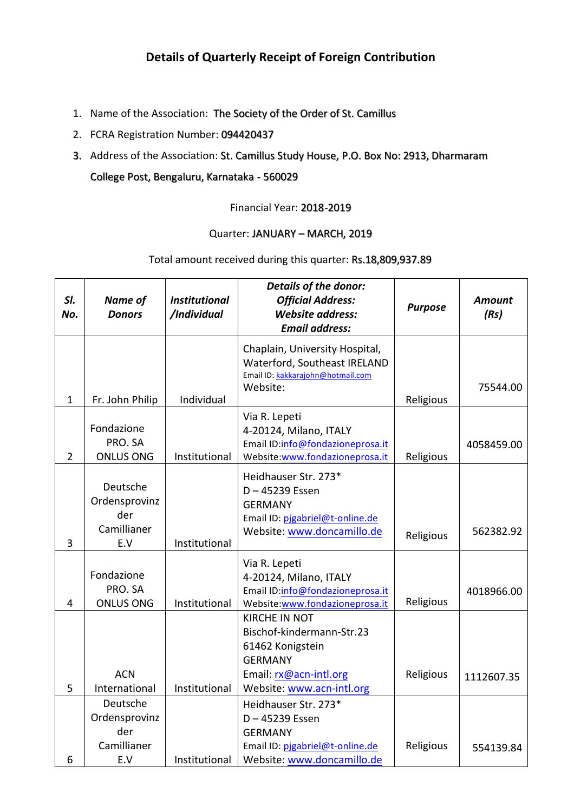## **Details of Quarterly Receipt of Foreign Contribution**

- 1. Name of the Association: The Society of the Order of St. Camillus
- 2. FCRA Registration Number: 094420437
- 3. Address of the Association: St. Camillus Study House, P.O. Box No: 2913, Dharmaram College Post, Bengaluru, Karnataka - 560029

Financial Year: 2018-2019

## Quarter: JANUARY - MARCH, 2019

## Total amount received during this quarter: Rs.18,809,937.89

| SI.<br>No.     | Name of<br><b>Donors</b>                               | <b>Institutional</b><br>/Individual | <b>Details of the donor:</b><br><b>Official Address:</b><br><b>Website address:</b><br><b>Email address:</b>                                   | <b>Purpose</b> | <b>Amount</b><br>(Rs) |
|----------------|--------------------------------------------------------|-------------------------------------|------------------------------------------------------------------------------------------------------------------------------------------------|----------------|-----------------------|
| $\mathbf{1}$   | Fr. John Philip                                        | Individual                          | Chaplain, University Hospital,<br>Waterford, Southeast IRELAND<br>Email ID: kakkarajohn@hotmail.com<br>Website:                                | Religious      | 75544.00              |
| $\overline{2}$ | Fondazione<br>PRO. SA<br><b>ONLUS ONG</b>              | Institutional                       | Via R. Lepeti<br>4-20124, Milano, ITALY<br>Email ID:info@fondazioneprosa.it<br>Website:www.fondazioneprosa.it                                  | Religious      | 4058459.00            |
| 3              | Deutsche<br>Ordensprovinz<br>der<br>Camillianer<br>E.V | Institutional                       | Heidhauser Str. 273*<br>D-45239 Essen<br><b>GERMANY</b><br>Email ID: pjgabriel@t-online.de<br>Website: www.doncamillo.de                       | Religious      | 562382.92             |
| $\overline{4}$ | Fondazione<br>PRO. SA<br><b>ONLUS ONG</b>              | Institutional                       | Via R. Lepeti<br>4-20124, Milano, ITALY<br>Email ID:info@fondazioneprosa.it<br>Website:www.fondazioneprosa.it                                  | Religious      | 4018966.00            |
| 5              | <b>ACN</b><br>International                            | Institutional                       | <b>KIRCHE IN NOT</b><br>Bischof-kindermann-Str.23<br>61462 Konigstein<br><b>GERMANY</b><br>Email: rx@acn-intl.org<br>Website: www.acn-intl.org | Religious      | 1112607.35            |
| 6              | Deutsche<br>Ordensprovinz<br>der<br>Camillianer<br>E.V | Institutional                       | Heidhauser Str. 273*<br>D-45239 Essen<br><b>GERMANY</b><br>Email ID: pjgabriel@t-online.de<br>Website: www.doncamillo.de                       | Religious      | 554139.84             |